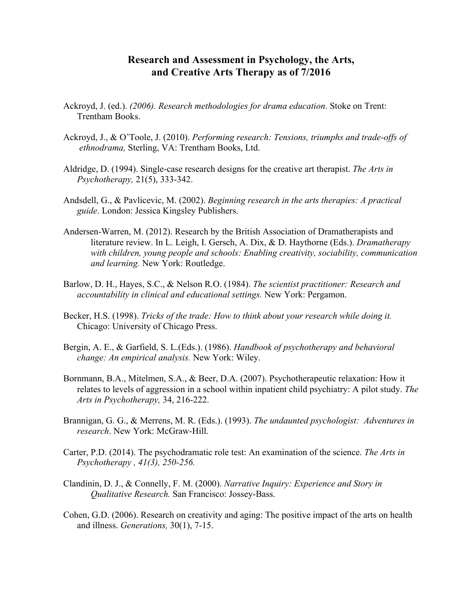## **Research and Assessment in Psychology, the Arts, and Creative Arts Therapy as of 7/2016**

- Ackroyd, J. (ed.). *(2006). Research methodologies for drama education*. Stoke on Trent: Trentham Books.
- Ackroyd, J., & O'Toole, J. (2010). *Performing research: Tensions, triumphs and trade-offs of ethnodrama,* Sterling, VA: Trentham Books, Ltd.
- Aldridge, D. (1994). Single-case research designs for the creative art therapist. *The Arts in Psychotherapy,* 21(5), 333-342.
- Andsdell, G., & Pavlicevic, M. (2002). *Beginning research in the arts therapies: A practical guide*. London: Jessica Kingsley Publishers.
- Andersen-Warren, M. (2012). Research by the British Association of Dramatherapists and literature review. In L. Leigh, I. Gersch, A. Dix, & D. Haythorne (Eds.). *Dramatherapy with children, young people and schools: Enabling creativity, sociability, communication and learning.* New York: Routledge.
- Barlow, D. H., Hayes, S.C., & Nelson R.O. (1984). *The scientist practitioner: Research and accountability in clinical and educational settings.* New York: Pergamon.
- Becker, H.S. (1998). *Tricks of the trade: How to think about your research while doing it.* Chicago: University of Chicago Press.
- Bergin, A. E., & Garfield, S. L.(Eds.). (1986). *Handbook of psychotherapy and behavioral change: An empirical analysis.* New York: Wiley.
- Bornmann, B.A., Mitelmen, S.A., & Beer, D.A. (2007). Psychotherapeutic relaxation: How it relates to levels of aggression in a school within inpatient child psychiatry: A pilot study. *The Arts in Psychotherapy,* 34, 216-222.
- Brannigan, G. G., & Merrens, M. R. (Eds.). (1993). *The undaunted psychologist: Adventures in research*. New York: McGraw-Hill.
- Carter, P.D. (2014). The psychodramatic role test: An examination of the science. *The Arts in Psychotherapy , 41(3), 250-256.*
- Clandinin, D. J., & Connelly, F. M. (2000). *Narrative Inquiry: Experience and Story in Qualitative Research.* San Francisco: Jossey-Bass.
- Cohen, G.D. (2006). Research on creativity and aging: The positive impact of the arts on health and illness. *Generations,* 30(1), 7-15.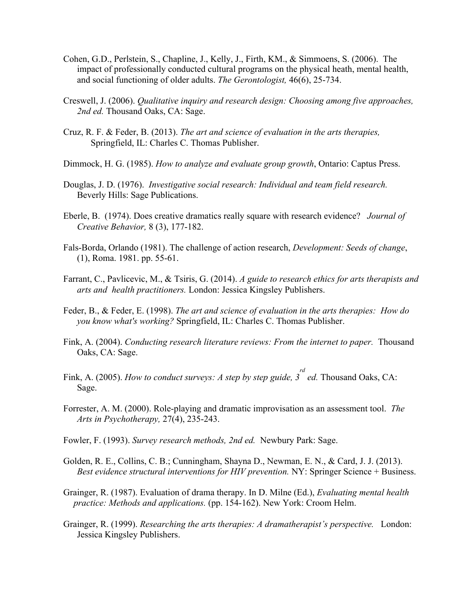- Cohen, G.D., Perlstein, S., Chapline, J., Kelly, J., Firth, KM., & Simmoens, S. (2006). The impact of professionally conducted cultural programs on the physical heath, mental health, and social functioning of older adults. *The Gerontologist,* 46(6), 25-734.
- Creswell, J. (2006). *Qualitative inquiry and research design: Choosing among five approaches, 2nd ed.* Thousand Oaks, CA: Sage.
- Cruz, R. F. & Feder, B. (2013). *The art and science of evaluation in the arts therapies,*  Springfield, IL: Charles C. Thomas Publisher.
- Dimmock, H. G. (1985). *How to analyze and evaluate group growth*, Ontario: Captus Press.
- Douglas, J. D. (1976). *Investigative social research: Individual and team field research.* Beverly Hills: Sage Publications.
- Eberle, B. (1974). Does creative dramatics really square with research evidence? *Journal of Creative Behavior,* 8 (3), 177-182.
- Fals-Borda, Orlando (1981). The challenge of action research, *Development: Seeds of change*, (1), Roma. 1981. pp. 55-61.
- Farrant, C., Pavlicevic, M., & Tsiris, G. (2014). *A guide to research ethics for arts therapists and arts and health practitioners.* London: Jessica Kingsley Publishers.
- Feder, B., & Feder, E. (1998). *The art and science of evaluation in the arts therapies: How do you know what's working?* Springfield, IL: Charles C. Thomas Publisher.
- Fink, A. (2004). *Conducting research literature reviews: From the internet to paper.* Thousand Oaks, CA: Sage.
- Fink, A. (2005). *How to conduct surveys: A step by step guide, 3 rd ed.* Thousand Oaks, CA: Sage.
- Forrester, A. M. (2000). Role-playing and dramatic improvisation as an assessment tool. *The Arts in Psychotherapy,* 27(4), 235-243.
- Fowler, F. (1993). *Survey research methods, 2nd ed.* Newbury Park: Sage.
- Golden, R. E., Collins, C. B.; Cunningham, Shayna D., Newman, E. N., & Card, J. J. (2013). *Best evidence structural interventions for HIV prevention.* NY: Springer Science + Business.
- Grainger, R. (1987). Evaluation of drama therapy. In D. Milne (Ed.), *Evaluating mental health practice: Methods and applications.* (pp. 154-162). New York: Croom Helm.
- Grainger, R. (1999). *Researching the arts therapies: A dramatherapist's perspective.* London: Jessica Kingsley Publishers.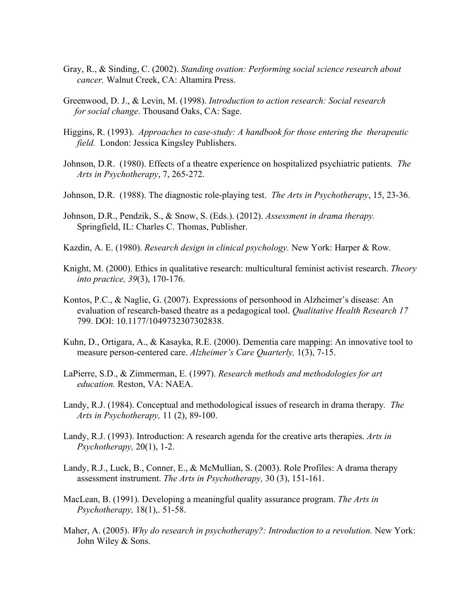- Gray, R., & Sinding, C. (2002). *Standing ovation: Performing social science research about cancer.* Walnut Creek, CA: Altamira Press.
- Greenwood, D. J., & Levin, M. (1998). *Introduction to action research: Social research for social change*. Thousand Oaks, CA: Sage.
- Higgins, R. (1993). *Approaches to case-study: A handbook for those entering the therapeutic field.* London: Jessica Kingsley Publishers.
- Johnson, D.R. (1980). Effects of a theatre experience on hospitalized psychiatric patients. *The Arts in Psychotherapy*, 7, 265-272.
- Johnson, D.R. (1988). The diagnostic role-playing test. *The Arts in Psychotherapy*, 15, 23-36.
- Johnson, D.R., Pendzik, S., & Snow, S. (Eds.). (2012). *Assessment in drama therapy.*  Springfield, IL: Charles C. Thomas, Publisher.
- Kazdin, A. E. (1980). *Research design in clinical psychology.* New York: Harper & Row.
- Knight, M. (2000). Ethics in qualitative research: multicultural feminist activist research. *Theory into practice, 39*(3), 170-176.
- Kontos, P.C., & Naglie, G. (2007). Expressions of personhood in Alzheimer's disease: An evaluation of research-based theatre as a pedagogical tool. *Qualitative Health Research 17* 799. DOI: 10.1177/1049732307302838.
- Kuhn, D., Ortigara, A., & Kasayka, R.E. (2000). Dementia care mapping: An innovative tool to measure person-centered care. *Alzheimer's Care Quarterly,* 1(3), 7-15.
- LaPierre, S.D., & Zimmerman, E. (1997). *Research methods and methodologies for art education.* Reston, VA: NAEA.
- Landy, R.J. (1984). Conceptual and methodological issues of research in drama therapy*. The Arts in Psychotherapy,* 11 (2), 89-100.
- Landy, R.J. (1993). Introduction: A research agenda for the creative arts therapies. *Arts in Psychotherapy,* 20(1), 1-2.
- Landy, R.J., Luck, B., Conner, E., & McMullian, S. (2003). Role Profiles: A drama therapy assessment instrument. *The Arts in Psychotherapy,* 30 (3), 151-161.
- MacLean, B. (1991). Developing a meaningful quality assurance program. *The Arts in Psychotherapy,* 18(1),. 51-58.
- Maher, A. (2005). *Why do research in psychotherapy?: Introduction to a revolution*. New York: John Wiley & Sons.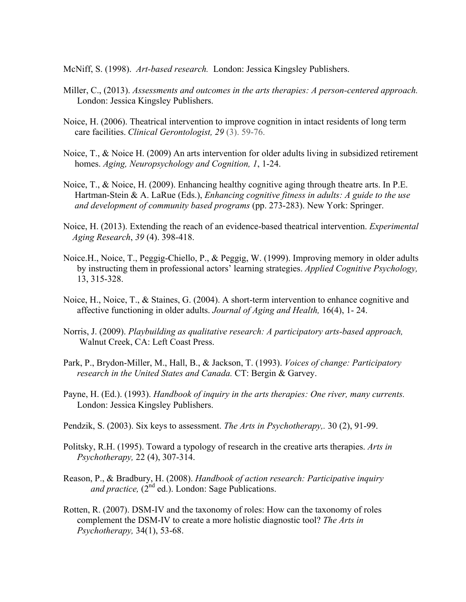McNiff, S. (1998). *Art-based research.* London: Jessica Kingsley Publishers.

- Miller, C., (2013). *Assessments and outcomes in the arts therapies: A person-centered approach.*  London: Jessica Kingsley Publishers.
- Noice, H. (2006). Theatrical intervention to improve cognition in intact residents of long term care facilities. *Clinical Gerontologist, 29* (3). 59-76.
- Noice, T., & Noice H. (2009) An arts intervention for older adults living in subsidized retirement homes. *Aging, Neuropsychology and Cognition, 1*, 1-24.
- Noice, T., & Noice, H. (2009). Enhancing healthy cognitive aging through theatre arts. In P.E. Hartman-Stein & A. LaRue (Eds.), *Enhancing cognitive fitness in adults: A guide to the use and development of community based programs* (pp. 273-283). New York: Springer.
- Noice, H. (2013). Extending the reach of an evidence-based theatrical intervention. *Experimental Aging Research*, *39* (4). 398-418.
- Noice.H., Noice, T., Peggig-Chiello, P., & Peggig, W. (1999). Improving memory in older adults by instructing them in professional actors' learning strategies. *Applied Cognitive Psychology,*  13, 315-328.
- Noice, H., Noice, T., & Staines, G. (2004). A short-term intervention to enhance cognitive and affective functioning in older adults. *Journal of Aging and Health,* 16(4), 1- 24.
- Norris, J. (2009). *Playbuilding as qualitative research: A participatory arts-based approach,*  Walnut Creek, CA: Left Coast Press.
- Park, P., Brydon-Miller, M., Hall, B., & Jackson, T. (1993). *Voices of change: Participatory research in the United States and Canada.* CT: Bergin & Garvey.
- Payne, H. (Ed.). (1993). *Handbook of inquiry in the arts therapies: One river, many currents.*  London: Jessica Kingsley Publishers.
- Pendzik, S. (2003). Six keys to assessment. *The Arts in Psychotherapy,.* 30 (2), 91-99.
- Politsky, R.H. (1995). Toward a typology of research in the creative arts therapies. *Arts in Psychotherapy,* 22 (4), 307-314.
- Reason, P., & Bradbury, H. (2008). *Handbook of action research: Participative inquiry and practice,* (2<sup>nd</sup> ed.). London: Sage Publications.
- Rotten, R. (2007). DSM-IV and the taxonomy of roles: How can the taxonomy of roles complement the DSM-IV to create a more holistic diagnostic tool? *The Arts in Psychotherapy,* 34(1), 53-68.